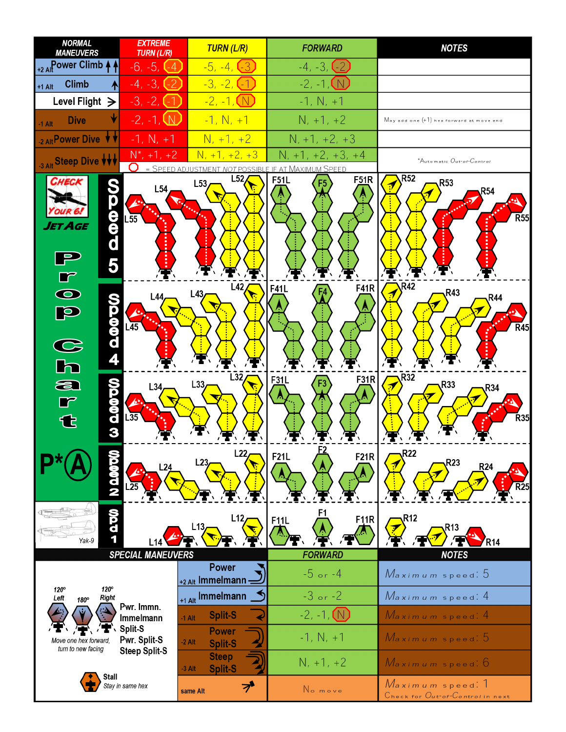| <b>NORMAL</b><br><b>MANEUVERS</b>                                                  | <b>EXTREME</b><br><b>TURN (L/R)</b>       | <b>TURN (L/R)</b>                          | <b>FORWARD</b>                                                | <b>NOTES</b>                                                   |  |  |  |  |  |
|------------------------------------------------------------------------------------|-------------------------------------------|--------------------------------------------|---------------------------------------------------------------|----------------------------------------------------------------|--|--|--|--|--|
| +2 AllPower Climb 4<br>-6, -5, 1<br>l - 4                                          |                                           | $-5, -4, (-3)$                             | $-4, -3, 1$<br>$\rightarrow$                                  |                                                                |  |  |  |  |  |
| <b>Climb</b><br>₳<br>$+1$ Alt                                                      | $-4, -3,$                                 | $-3, -2, -1$                               | $-2, -1,$                                                     |                                                                |  |  |  |  |  |
| Level Flight $\geq$<br>$-3, -2, 1$                                                 |                                           | <u>-2, -1, (N)</u>                         | $-1, N, +1$                                                   |                                                                |  |  |  |  |  |
| <b>Dive</b><br>$-1$ Alt                                                            | $-2, -1, \mathbb{W}$                      | $-1, N, +1$                                | $N, +1, +2$                                                   | $M$ ay add one $(+1)$ hex forward at move end                  |  |  |  |  |  |
| 2 Alt Power Dive $\forall$                                                         | $-1, N, +1$                               | $N, +1, +2$                                | $N, +1, +2, +3$                                               |                                                                |  |  |  |  |  |
| 3 Alt Steep Dive VVV                                                               | $N^*$ , +1, +2                            | $N, +1, +2, +3$                            | N<br>$+2, +3, +4$                                             | *Automatic Out-of-Control                                      |  |  |  |  |  |
| CHECK<br>e<br>d<br>d<br>AGE<br>5                                                   | 0<br>$=$ SPEED<br>L54<br>$L\overline{55}$ | L52<br>L53                                 | NOT POSSIBLE IF AT MAXIMUM SPEED<br>F <sub>51</sub> R<br>F51L | R <sub>52</sub><br>R <sub>53</sub><br><b>R54</b><br><b>R55</b> |  |  |  |  |  |
| $\overline{\bullet}$<br><b>DOOOOO</b><br>H<br>p<br>$\frac{\mathbf{C}}{\mathbf{h}}$ | L44<br>$\overline{45}$                    | L42<br>L43                                 | <b>F41R</b><br>F41L                                           | <b>R42</b><br>R43<br>R44<br>$\overline{R}$ 45                  |  |  |  |  |  |
| က္တစ္စစ္တာ က<br>a<br>$\Box$<br>€                                                   | L34<br>⇙<br>$\overline{.35}$              | L32<br>L33                                 | F31R<br>F31L                                                  | R32<br>R33<br>77<br>R34,<br><b>R35</b>                         |  |  |  |  |  |
| N 0.00                                                                             | L24                                       | L22<br>L23                                 | F21L<br><b>F21R</b>                                           | <b>R22</b><br>R23,<br><b>R24</b>                               |  |  |  |  |  |
| <b>QDD</b><br>Yak-9                                                                |                                           | L12<br>L13,                                | F1<br>F11R<br>F <sub>11</sub> L                               | <b>R12</b><br>R13<br>R14                                       |  |  |  |  |  |
|                                                                                    | <b>SPECIAL MANEUVERS</b>                  | <b>Power</b>                               | <b>FORWARD</b>                                                | <b>NOTES</b>                                                   |  |  |  |  |  |
| 120°<br>$120^\circ$                                                                |                                           | +2 Alt Immelmann -                         | $-5$ or $-4$                                                  | Maximum speed: 5                                               |  |  |  |  |  |
| Right<br>Left<br>180°                                                              | Pwr. Immn.                                | +1 Alt Immelmann                           | $-3$ or $-2$                                                  | Maximum speed: 4                                               |  |  |  |  |  |
|                                                                                    | Immelmann                                 | <b>Split-S</b><br>$-1$ Alt                 | $-2, -1, (N)$                                                 | Maximum speed 4                                                |  |  |  |  |  |
| Move one hex forward,<br>turn to new facing                                        | Split-S<br>Pwr. Split-S                   | <b>Power</b><br>$-2$ Alt<br><b>Split-S</b> | $-1, N, +1$                                                   | Maximum speed 5                                                |  |  |  |  |  |
|                                                                                    | <b>Steep Split-S</b>                      | <b>Steep</b><br><b>Split-S</b><br>$-3$ Alt | $N, +1, +2$                                                   | Maximum speed: 6                                               |  |  |  |  |  |
| Stall                                                                              | Stay in same hex                          | プ<br>same Alt                              | No move                                                       | Maximum speed. 1<br>Check for Out-of-Control in next           |  |  |  |  |  |